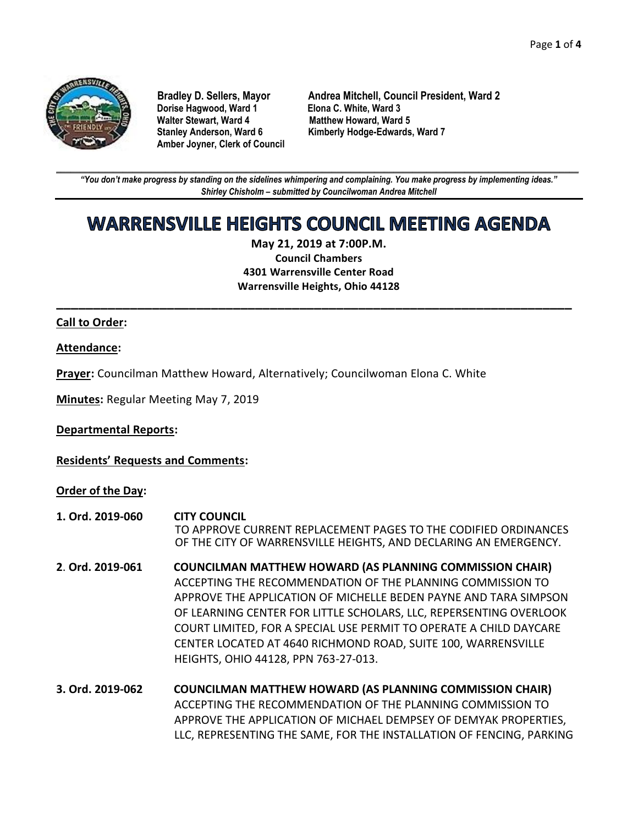

**Dorise Hagwood, Ward 1 Elona C. White, Ward 3 Amber Joyner, Clerk of Council**

**Bradley D. Sellers, Mayor Andrea Mitchell, Council President, Ward 2 Matthew Howard, Ward 5 Stanley Anderson, Ward 6 Kimberly Hodge-Edwards, Ward 7**

**\_\_\_\_\_\_\_\_\_\_\_\_\_\_\_\_\_\_\_\_\_\_\_\_\_\_\_\_\_\_\_\_\_\_\_\_\_\_\_\_\_\_\_\_\_\_\_\_\_\_\_\_\_\_\_\_\_\_\_\_\_\_\_\_\_\_\_\_\_\_\_\_\_\_\_\_\_\_\_\_\_\_\_\_\_\_\_\_\_\_\_\_\_\_\_\_\_\_\_\_\_\_\_\_\_\_\_\_\_\_** *"You don't make progress by standing on the sidelines whimpering and complaining. You make progress by implementing ideas." Shirley Chisholm – submitted by Councilwoman Andrea Mitchell*

# WARRENSVILLE HEIGHTS COUNCIL MEETING AGENDA

**May 21, 2019 at 7:00P.M. Council Chambers 4301 Warrensville Center Road Warrensville Heights, Ohio 44128**

**\_\_\_\_\_\_\_\_\_\_\_\_\_\_\_\_\_\_\_\_\_\_\_\_\_\_\_\_\_\_\_\_\_\_\_\_\_\_\_\_\_\_\_\_\_\_\_\_\_\_\_\_\_\_\_\_\_\_\_\_\_\_\_\_\_\_\_\_\_\_**

#### **Call to Order:**

#### **Attendance:**

**Prayer:** Councilman Matthew Howard, Alternatively; Councilwoman Elona C. White

**Minutes:** Regular Meeting May 7, 2019

**Departmental Reports:**

**Residents' Requests and Comments:**

**Order of the Day:**

- **1. Ord. 2019-060 CITY COUNCIL** TO APPROVE CURRENT REPLACEMENT PAGES TO THE CODIFIED ORDINANCES OF THE CITY OF WARRENSVILLE HEIGHTS, AND DECLARING AN EMERGENCY.
- **2**. **Ord. 2019-061 COUNCILMAN MATTHEW HOWARD (AS PLANNING COMMISSION CHAIR)** ACCEPTING THE RECOMMENDATION OF THE PLANNING COMMISSION TO APPROVE THE APPLICATION OF MICHELLE BEDEN PAYNE AND TARA SIMPSON OF LEARNING CENTER FOR LITTLE SCHOLARS, LLC, REPERSENTING OVERLOOK COURT LIMITED, FOR A SPECIAL USE PERMIT TO OPERATE A CHILD DAYCARE CENTER LOCATED AT 4640 RICHMOND ROAD, SUITE 100, WARRENSVILLE HEIGHTS, OHIO 44128, PPN 763-27-013.
- **3. Ord. 2019-062 COUNCILMAN MATTHEW HOWARD (AS PLANNING COMMISSION CHAIR)** ACCEPTING THE RECOMMENDATION OF THE PLANNING COMMISSION TO APPROVE THE APPLICATION OF MICHAEL DEMPSEY OF DEMYAK PROPERTIES, LLC, REPRESENTING THE SAME, FOR THE INSTALLATION OF FENCING, PARKING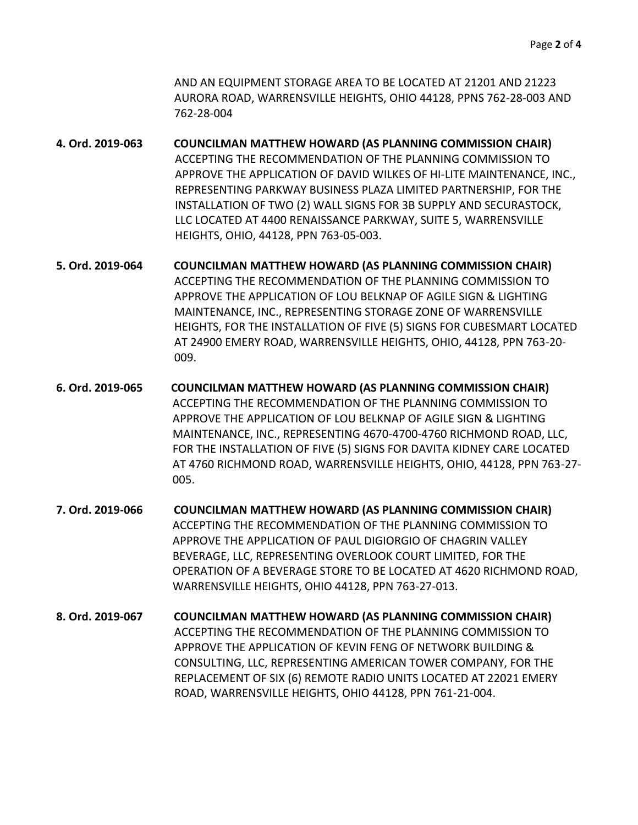AND AN EQUIPMENT STORAGE AREA TO BE LOCATED AT 21201 AND 21223 AURORA ROAD, WARRENSVILLE HEIGHTS, OHIO 44128, PPNS 762-28-003 AND 762-28-004

**4. Ord. 2019-063 COUNCILMAN MATTHEW HOWARD (AS PLANNING COMMISSION CHAIR)** ACCEPTING THE RECOMMENDATION OF THE PLANNING COMMISSION TO APPROVE THE APPLICATION OF DAVID WILKES OF HI-LITE MAINTENANCE, INC., REPRESENTING PARKWAY BUSINESS PLAZA LIMITED PARTNERSHIP, FOR THE INSTALLATION OF TWO (2) WALL SIGNS FOR 3B SUPPLY AND SECURASTOCK, LLC LOCATED AT 4400 RENAISSANCE PARKWAY, SUITE 5, WARRENSVILLE HEIGHTS, OHIO, 44128, PPN 763-05-003.

**5. Ord. 2019-064 COUNCILMAN MATTHEW HOWARD (AS PLANNING COMMISSION CHAIR)** ACCEPTING THE RECOMMENDATION OF THE PLANNING COMMISSION TO APPROVE THE APPLICATION OF LOU BELKNAP OF AGILE SIGN & LIGHTING MAINTENANCE, INC., REPRESENTING STORAGE ZONE OF WARRENSVILLE HEIGHTS, FOR THE INSTALLATION OF FIVE (5) SIGNS FOR CUBESMART LOCATED AT 24900 EMERY ROAD, WARRENSVILLE HEIGHTS, OHIO, 44128, PPN 763-20- 009.

- **6. Ord. 2019-065 COUNCILMAN MATTHEW HOWARD (AS PLANNING COMMISSION CHAIR)** ACCEPTING THE RECOMMENDATION OF THE PLANNING COMMISSION TO APPROVE THE APPLICATION OF LOU BELKNAP OF AGILE SIGN & LIGHTING MAINTENANCE, INC., REPRESENTING 4670-4700-4760 RICHMOND ROAD, LLC, FOR THE INSTALLATION OF FIVE (5) SIGNS FOR DAVITA KIDNEY CARE LOCATED AT 4760 RICHMOND ROAD, WARRENSVILLE HEIGHTS, OHIO, 44128, PPN 763-27- 005.
- **7. Ord. 2019-066 COUNCILMAN MATTHEW HOWARD (AS PLANNING COMMISSION CHAIR)** ACCEPTING THE RECOMMENDATION OF THE PLANNING COMMISSION TO APPROVE THE APPLICATION OF PAUL DIGIORGIO OF CHAGRIN VALLEY BEVERAGE, LLC, REPRESENTING OVERLOOK COURT LIMITED, FOR THE OPERATION OF A BEVERAGE STORE TO BE LOCATED AT 4620 RICHMOND ROAD, WARRENSVILLE HEIGHTS, OHIO 44128, PPN 763-27-013.

**8. Ord. 2019-067 COUNCILMAN MATTHEW HOWARD (AS PLANNING COMMISSION CHAIR)** ACCEPTING THE RECOMMENDATION OF THE PLANNING COMMISSION TO APPROVE THE APPLICATION OF KEVIN FENG OF NETWORK BUILDING & CONSULTING, LLC, REPRESENTING AMERICAN TOWER COMPANY, FOR THE REPLACEMENT OF SIX (6) REMOTE RADIO UNITS LOCATED AT 22021 EMERY ROAD, WARRENSVILLE HEIGHTS, OHIO 44128, PPN 761-21-004.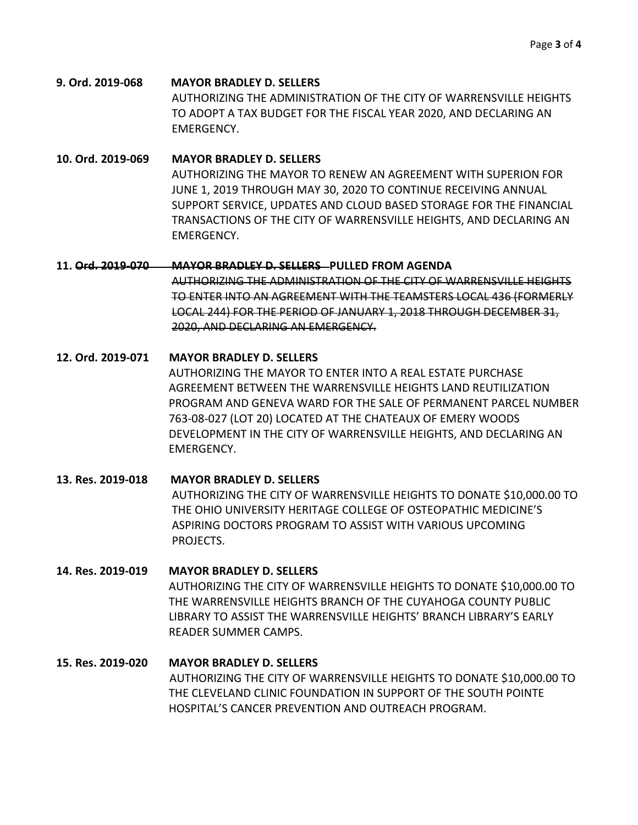**9. Ord. 2019-068 MAYOR BRADLEY D. SELLERS** AUTHORIZING THE ADMINISTRATION OF THE CITY OF WARRENSVILLE HEIGHTS TO ADOPT A TAX BUDGET FOR THE FISCAL YEAR 2020, AND DECLARING AN EMERGENCY.

**10. Ord. 2019-069 MAYOR BRADLEY D. SELLERS**  AUTHORIZING THE MAYOR TO RENEW AN AGREEMENT WITH SUPERION FOR JUNE 1, 2019 THROUGH MAY 30, 2020 TO CONTINUE RECEIVING ANNUAL SUPPORT SERVICE, UPDATES AND CLOUD BASED STORAGE FOR THE FINANCIAL TRANSACTIONS OF THE CITY OF WARRENSVILLE HEIGHTS, AND DECLARING AN EMERGENCY.

#### **11. Ord. 2019-070 MAYOR BRADLEY D. SELLERS PULLED FROM AGENDA**

AUTHORIZING THE ADMINISTRATION OF THE CITY OF WARRENSVILLE HEIGHTS TO ENTER INTO AN AGREEMENT WITH THE TEAMSTERS LOCAL 436 (FORMERLY LOCAL 244) FOR THE PERIOD OF JANUARY 1, 2018 THROUGH DECEMBER 31, 2020, AND DECLARING AN EMERGENCY.

#### **12. Ord. 2019-071 MAYOR BRADLEY D. SELLERS**

AUTHORIZING THE MAYOR TO ENTER INTO A REAL ESTATE PURCHASE AGREEMENT BETWEEN THE WARRENSVILLE HEIGHTS LAND REUTILIZATION PROGRAM AND GENEVA WARD FOR THE SALE OF PERMANENT PARCEL NUMBER 763-08-027 (LOT 20) LOCATED AT THE CHATEAUX OF EMERY WOODS DEVELOPMENT IN THE CITY OF WARRENSVILLE HEIGHTS, AND DECLARING AN EMERGENCY.

# **13. Res. 2019-018 MAYOR BRADLEY D. SELLERS** AUTHORIZING THE CITY OF WARRENSVILLE HEIGHTS TO DONATE \$10,000.00 TO THE OHIO UNIVERSITY HERITAGE COLLEGE OF OSTEOPATHIC MEDICINE'S ASPIRING DOCTORS PROGRAM TO ASSIST WITH VARIOUS UPCOMING PROJECTS.

# **14. Res. 2019-019 MAYOR BRADLEY D. SELLERS** AUTHORIZING THE CITY OF WARRENSVILLE HEIGHTS TO DONATE \$10,000.00 TO THE WARRENSVILLE HEIGHTS BRANCH OF THE CUYAHOGA COUNTY PUBLIC LIBRARY TO ASSIST THE WARRENSVILLE HEIGHTS' BRANCH LIBRARY'S EARLY READER SUMMER CAMPS.

# **15. Res. 2019-020 MAYOR BRADLEY D. SELLERS** AUTHORIZING THE CITY OF WARRENSVILLE HEIGHTS TO DONATE \$10,000.00 TO THE CLEVELAND CLINIC FOUNDATION IN SUPPORT OF THE SOUTH POINTE HOSPITAL'S CANCER PREVENTION AND OUTREACH PROGRAM.